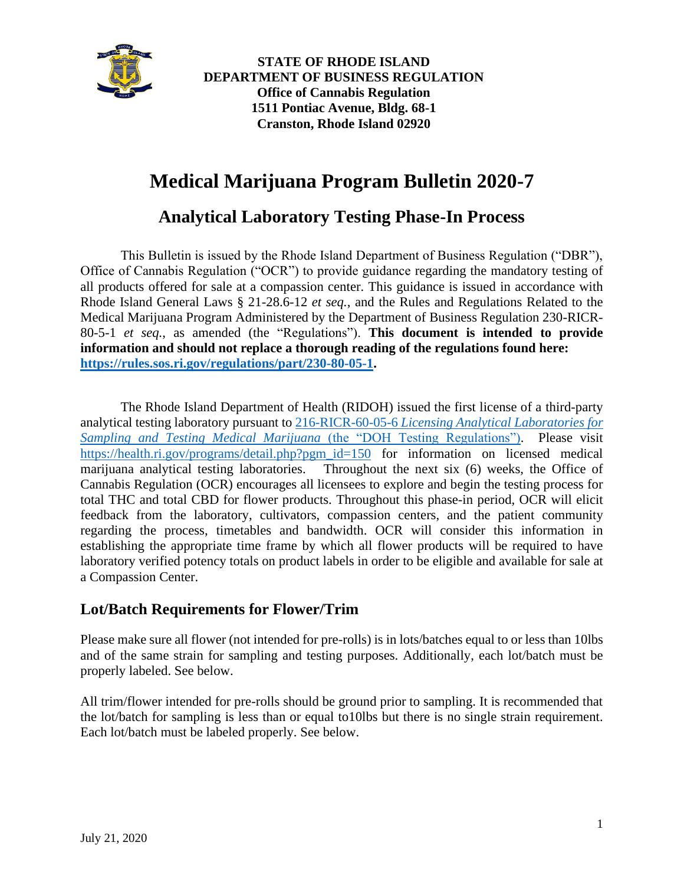

**STATE OF RHODE ISLAND DEPARTMENT OF BUSINESS REGULATION Office of Cannabis Regulation 1511 Pontiac Avenue, Bldg. 68-1 Cranston, Rhode Island 02920**

# **Medical Marijuana Program Bulletin 2020-7**

# **Analytical Laboratory Testing Phase-In Process**

This Bulletin is issued by the Rhode Island Department of Business Regulation ("DBR"), Office of Cannabis Regulation ("OCR") to provide guidance regarding the mandatory testing of all products offered for sale at a compassion center. This guidance is issued in accordance with Rhode Island General Laws § 21-28.6-12 *et seq.*, and the Rules and Regulations Related to the Medical Marijuana Program Administered by the Department of Business Regulation 230-RICR-80-5-1 *et seq.*, as amended (the "Regulations"). **This document is intended to provide information and should not replace a thorough reading of the regulations found here: [https://rules.sos.ri.gov/regulations/part/230-80-05-1.](https://rules.sos.ri.gov/regulations/part/230-80-05-1)**

The Rhode Island Department of Health (RIDOH) issued the first license of a third-party analytical testing laboratory pursuant to 216-RICR-60-05-6 *[Licensing Analytical Laboratories for](https://risos-apa-production-public.s3.amazonaws.com/DOH/REG_10098_20180811132502.pdf)  [Sampling and Testing Medical Marijuana](https://risos-apa-production-public.s3.amazonaws.com/DOH/REG_10098_20180811132502.pdf)* (the "DOH Testing Regulations"). Please visit [https://health.ri.gov/programs/detail.php?pgm\\_id=150](https://health.ri.gov/programs/detail.php?pgm_id=150) for information on licensed medical marijuana analytical testing laboratories. Throughout the next six (6) weeks, the Office of Cannabis Regulation (OCR) encourages all licensees to explore and begin the testing process for total THC and total CBD for flower products. Throughout this phase-in period, OCR will elicit feedback from the laboratory, cultivators, compassion centers, and the patient community regarding the process, timetables and bandwidth. OCR will consider this information in establishing the appropriate time frame by which all flower products will be required to have laboratory verified potency totals on product labels in order to be eligible and available for sale at a Compassion Center.

## **Lot/Batch Requirements for Flower/Trim**

Please make sure all flower (not intended for pre-rolls) is in lots/batches equal to or less than 10lbs and of the same strain for sampling and testing purposes. Additionally, each lot/batch must be properly labeled. See below.

All trim/flower intended for pre-rolls should be ground prior to sampling. It is recommended that the lot/batch for sampling is less than or equal to10lbs but there is no single strain requirement. Each lot/batch must be labeled properly. See below.